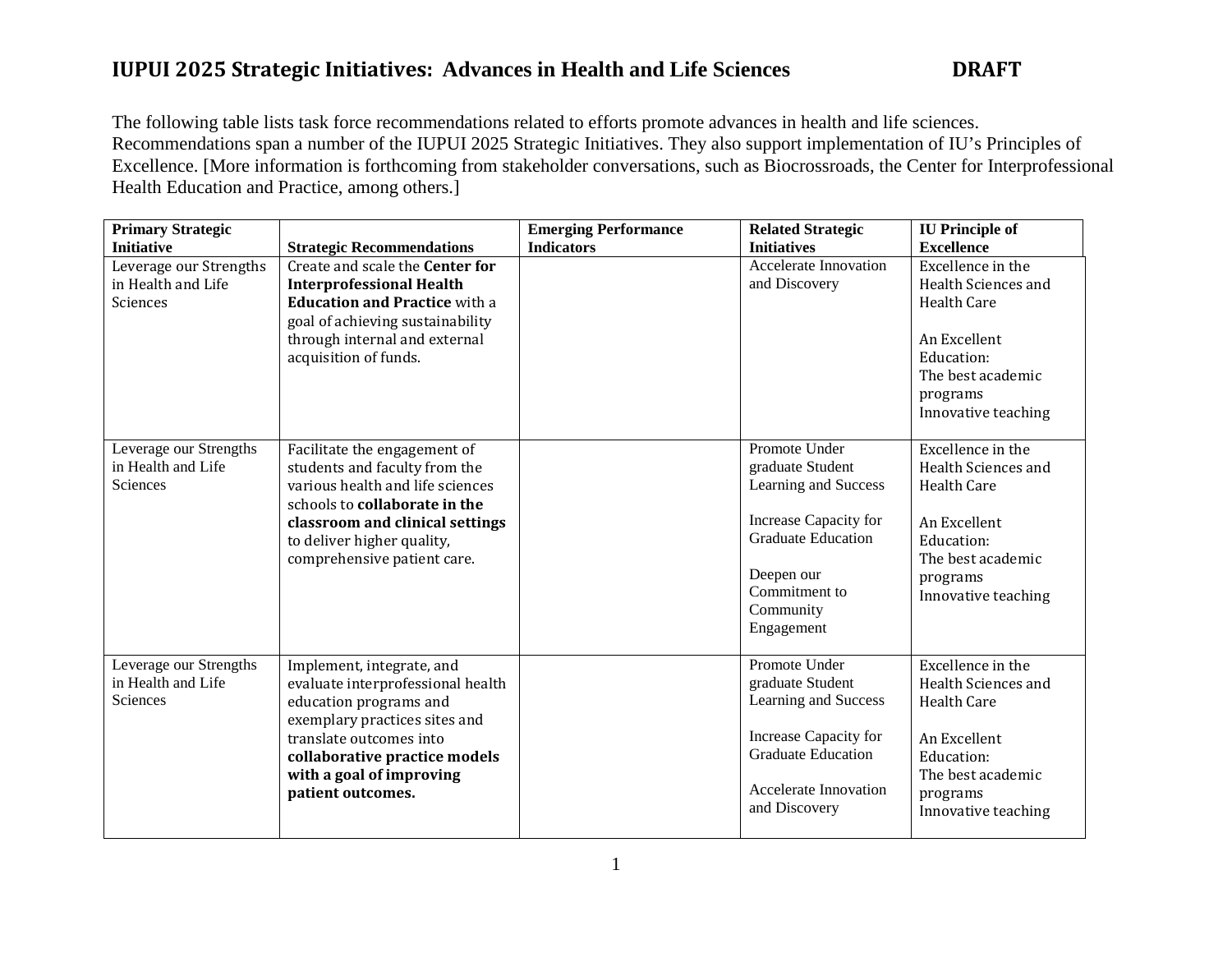The following table lists task force recommendations related to efforts promote advances in health and life sciences. Recommendations span a number of the IUPUI 2025 Strategic Initiatives. They also support implementation of IU's Principles of Excellence. [More information is forthcoming from stakeholder conversations, such as Biocrossroads, the Center for Interprofessional Health Education and Practice, among others.]

| <b>Primary Strategic</b>                                        |                                                                                                                                                                                                                                        | <b>Emerging Performance</b> | <b>Related Strategic</b>                                                                                                                                                  | <b>IU</b> Principle of                                                                                                                               |
|-----------------------------------------------------------------|----------------------------------------------------------------------------------------------------------------------------------------------------------------------------------------------------------------------------------------|-----------------------------|---------------------------------------------------------------------------------------------------------------------------------------------------------------------------|------------------------------------------------------------------------------------------------------------------------------------------------------|
| <b>Initiative</b>                                               | <b>Strategic Recommendations</b>                                                                                                                                                                                                       | <b>Indicators</b>           | <b>Initiatives</b>                                                                                                                                                        | <b>Excellence</b>                                                                                                                                    |
| Leverage our Strengths<br>in Health and Life<br>Sciences        | Create and scale the Center for<br><b>Interprofessional Health</b><br><b>Education and Practice with a</b><br>goal of achieving sustainability<br>through internal and external<br>acquisition of funds.                               |                             | <b>Accelerate Innovation</b><br>and Discovery                                                                                                                             | Excellence in the<br>Health Sciences and<br>Health Care<br>An Excellent<br>Education:<br>The best academic<br>programs<br>Innovative teaching        |
| Leverage our Strengths<br>in Health and Life<br><b>Sciences</b> | Facilitate the engagement of<br>students and faculty from the<br>various health and life sciences<br>schools to collaborate in the<br>classroom and clinical settings<br>to deliver higher quality,<br>comprehensive patient care.     |                             | Promote Under<br>graduate Student<br>Learning and Success<br>Increase Capacity for<br><b>Graduate Education</b><br>Deepen our<br>Commitment to<br>Community<br>Engagement | Excellence in the<br>Health Sciences and<br>Health Care<br>An Excellent<br>Education:<br>The best academic<br>programs<br>Innovative teaching        |
| Leverage our Strengths<br>in Health and Life<br>Sciences        | Implement, integrate, and<br>evaluate interprofessional health<br>education programs and<br>exemplary practices sites and<br>translate outcomes into<br>collaborative practice models<br>with a goal of improving<br>patient outcomes. |                             | Promote Under<br>graduate Student<br>Learning and Success<br>Increase Capacity for<br><b>Graduate Education</b><br><b>Accelerate Innovation</b><br>and Discovery          | Excellence in the<br>Health Sciences and<br><b>Health Care</b><br>An Excellent<br>Education:<br>The best academic<br>programs<br>Innovative teaching |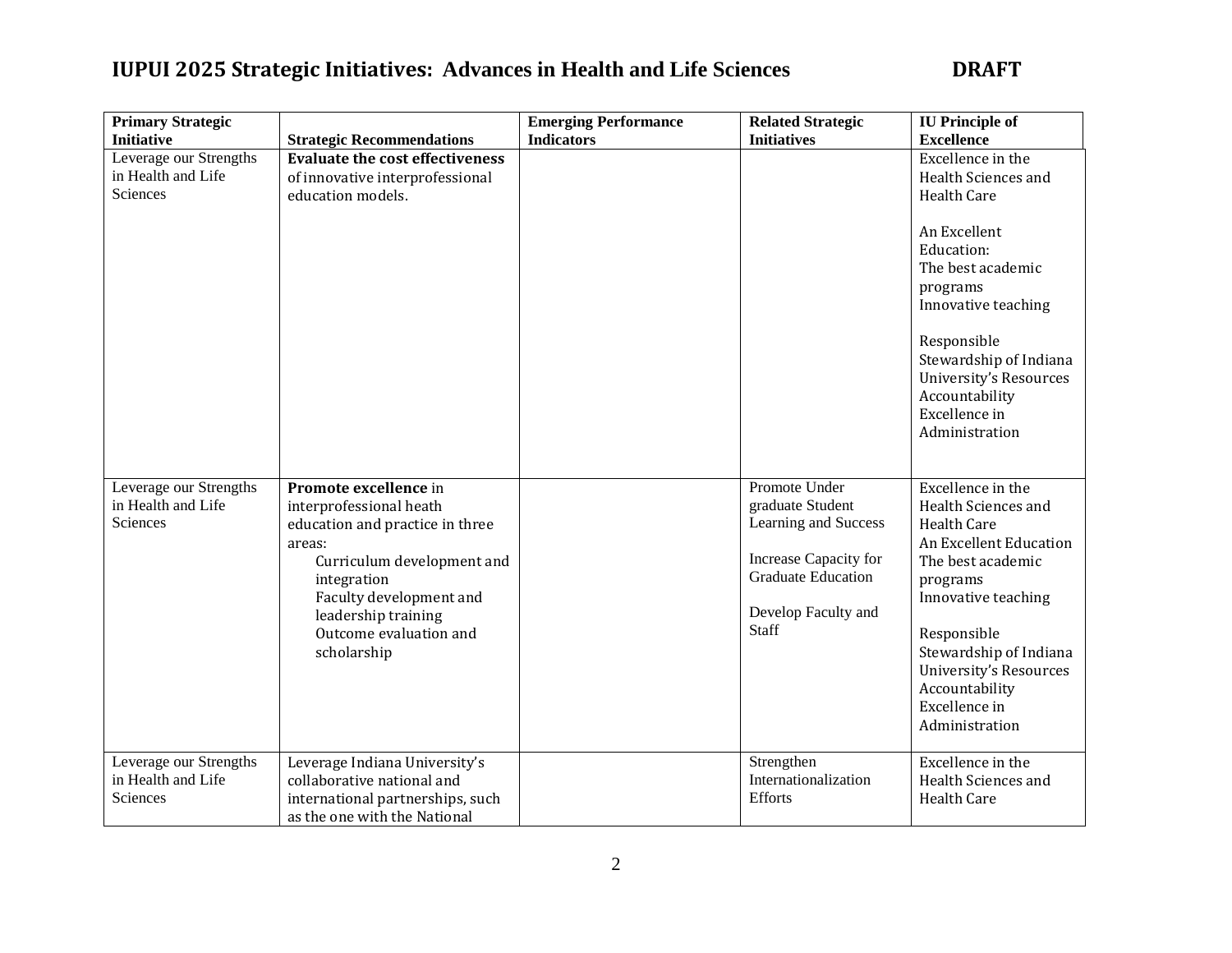| <b>Primary Strategic</b>                                 |                                                                                                                                                                                                                                       | <b>Emerging Performance</b> | <b>Related Strategic</b>                                                                                                                        | <b>IU</b> Principle of                                                                                                                                                                                                                                                              |
|----------------------------------------------------------|---------------------------------------------------------------------------------------------------------------------------------------------------------------------------------------------------------------------------------------|-----------------------------|-------------------------------------------------------------------------------------------------------------------------------------------------|-------------------------------------------------------------------------------------------------------------------------------------------------------------------------------------------------------------------------------------------------------------------------------------|
| <b>Initiative</b>                                        | <b>Strategic Recommendations</b>                                                                                                                                                                                                      | <b>Indicators</b>           | <b>Initiatives</b>                                                                                                                              | <b>Excellence</b>                                                                                                                                                                                                                                                                   |
| Leverage our Strengths<br>in Health and Life<br>Sciences | <b>Evaluate the cost effectiveness</b><br>of innovative interprofessional<br>education models.                                                                                                                                        |                             |                                                                                                                                                 | Excellence in the<br>Health Sciences and<br><b>Health Care</b><br>An Excellent<br>Education:<br>The best academic<br>programs<br>Innovative teaching<br>Responsible<br>Stewardship of Indiana<br><b>University's Resources</b><br>Accountability<br>Excellence in<br>Administration |
| Leverage our Strengths<br>in Health and Life<br>Sciences | Promote excellence in<br>interprofessional heath<br>education and practice in three<br>areas:<br>Curriculum development and<br>integration<br>Faculty development and<br>leadership training<br>Outcome evaluation and<br>scholarship |                             | Promote Under<br>graduate Student<br>Learning and Success<br>Increase Capacity for<br><b>Graduate Education</b><br>Develop Faculty and<br>Staff | Excellence in the<br>Health Sciences and<br><b>Health Care</b><br>An Excellent Education<br>The best academic<br>programs<br>Innovative teaching<br>Responsible<br>Stewardship of Indiana<br>University's Resources<br>Accountability<br>Excellence in<br>Administration            |
| Leverage our Strengths<br>in Health and Life<br>Sciences | Leverage Indiana University's<br>collaborative national and<br>international partnerships, such<br>as the one with the National                                                                                                       |                             | Strengthen<br>Internationalization<br>Efforts                                                                                                   | Excellence in the<br>Health Sciences and<br><b>Health Care</b>                                                                                                                                                                                                                      |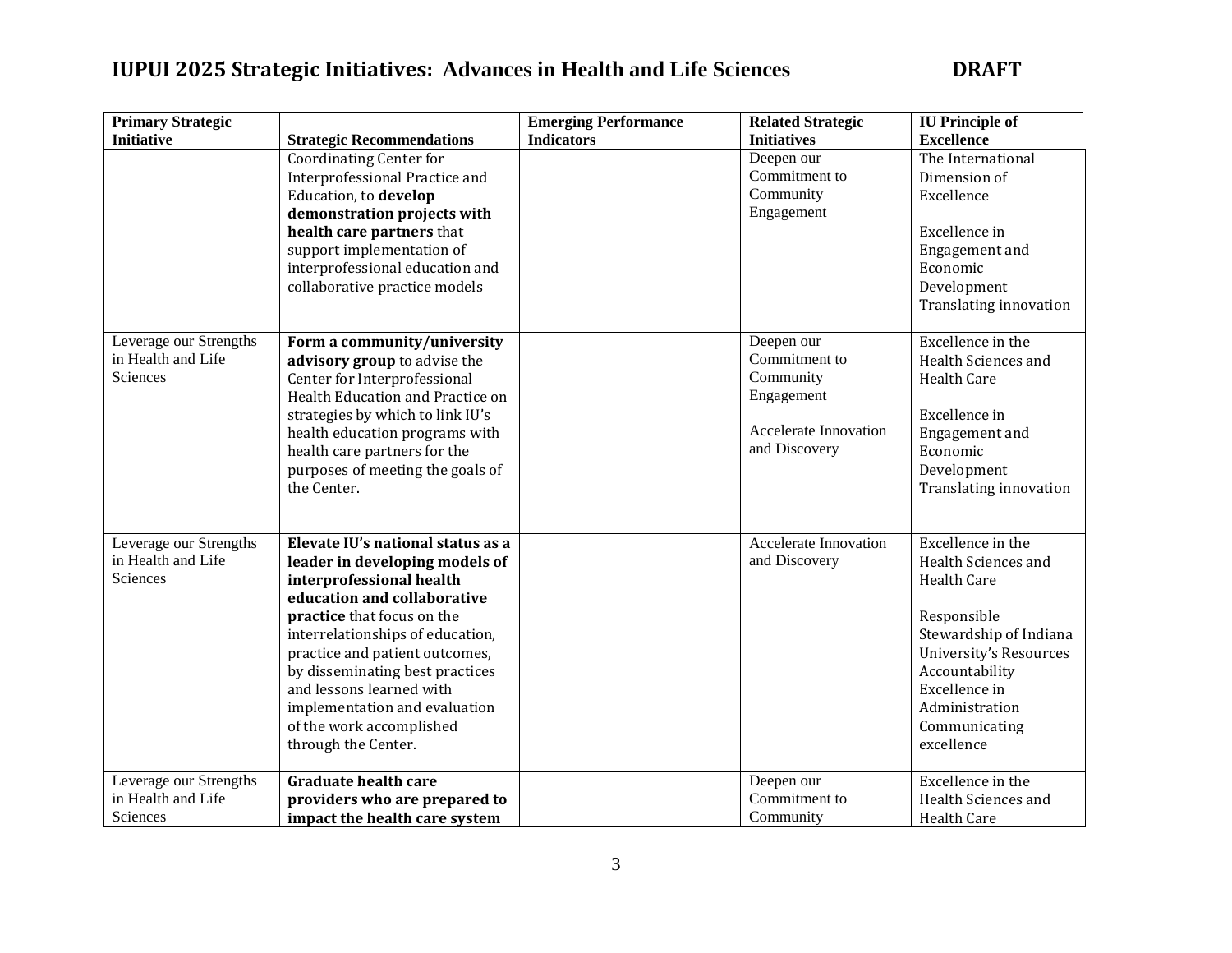| <b>Primary Strategic</b> |                                   | <b>Emerging Performance</b> | <b>Related Strategic</b>     | <b>IU</b> Principle of        |
|--------------------------|-----------------------------------|-----------------------------|------------------------------|-------------------------------|
| <b>Initiative</b>        | <b>Strategic Recommendations</b>  | <b>Indicators</b>           | <b>Initiatives</b>           | <b>Excellence</b>             |
|                          | <b>Coordinating Center for</b>    |                             | Deepen our                   | The International             |
|                          | Interprofessional Practice and    |                             | Commitment to                | Dimension of                  |
|                          | Education, to develop             |                             | Community                    | Excellence                    |
|                          | demonstration projects with       |                             | Engagement                   |                               |
|                          | health care partners that         |                             |                              | Excellence in                 |
|                          | support implementation of         |                             |                              | Engagement and                |
|                          | interprofessional education and   |                             |                              | Economic                      |
|                          | collaborative practice models     |                             |                              | Development                   |
|                          |                                   |                             |                              | Translating innovation        |
|                          |                                   |                             |                              |                               |
| Leverage our Strengths   | Form a community/university       |                             | Deepen our                   | Excellence in the             |
| in Health and Life       | advisory group to advise the      |                             | Commitment to                | Health Sciences and           |
| Sciences                 | Center for Interprofessional      |                             | Community                    | <b>Health Care</b>            |
|                          | Health Education and Practice on  |                             | Engagement                   |                               |
|                          | strategies by which to link IU's  |                             |                              | Excellence in                 |
|                          | health education programs with    |                             | <b>Accelerate Innovation</b> | Engagement and                |
|                          | health care partners for the      |                             | and Discovery                | Economic                      |
|                          | purposes of meeting the goals of  |                             |                              | Development                   |
|                          | the Center.                       |                             |                              | Translating innovation        |
|                          |                                   |                             |                              |                               |
|                          |                                   |                             |                              |                               |
| Leverage our Strengths   | Elevate IU's national status as a |                             | <b>Accelerate Innovation</b> | Excellence in the             |
| in Health and Life       | leader in developing models of    |                             | and Discovery                | Health Sciences and           |
| Sciences                 | interprofessional health          |                             |                              | <b>Health Care</b>            |
|                          | education and collaborative       |                             |                              |                               |
|                          | practice that focus on the        |                             |                              | Responsible                   |
|                          | interrelationships of education,  |                             |                              | Stewardship of Indiana        |
|                          | practice and patient outcomes,    |                             |                              | <b>University's Resources</b> |
|                          | by disseminating best practices   |                             |                              | Accountability                |
|                          | and lessons learned with          |                             |                              | Excellence in                 |
|                          | implementation and evaluation     |                             |                              | Administration                |
|                          | of the work accomplished          |                             |                              | Communicating                 |
|                          | through the Center.               |                             |                              | excellence                    |
| Leverage our Strengths   | <b>Graduate health care</b>       |                             | Deepen our                   | Excellence in the             |
| in Health and Life       | providers who are prepared to     |                             | Commitment to                | Health Sciences and           |
| Sciences                 | impact the health care system     |                             | Community                    | <b>Health Care</b>            |
|                          |                                   |                             |                              |                               |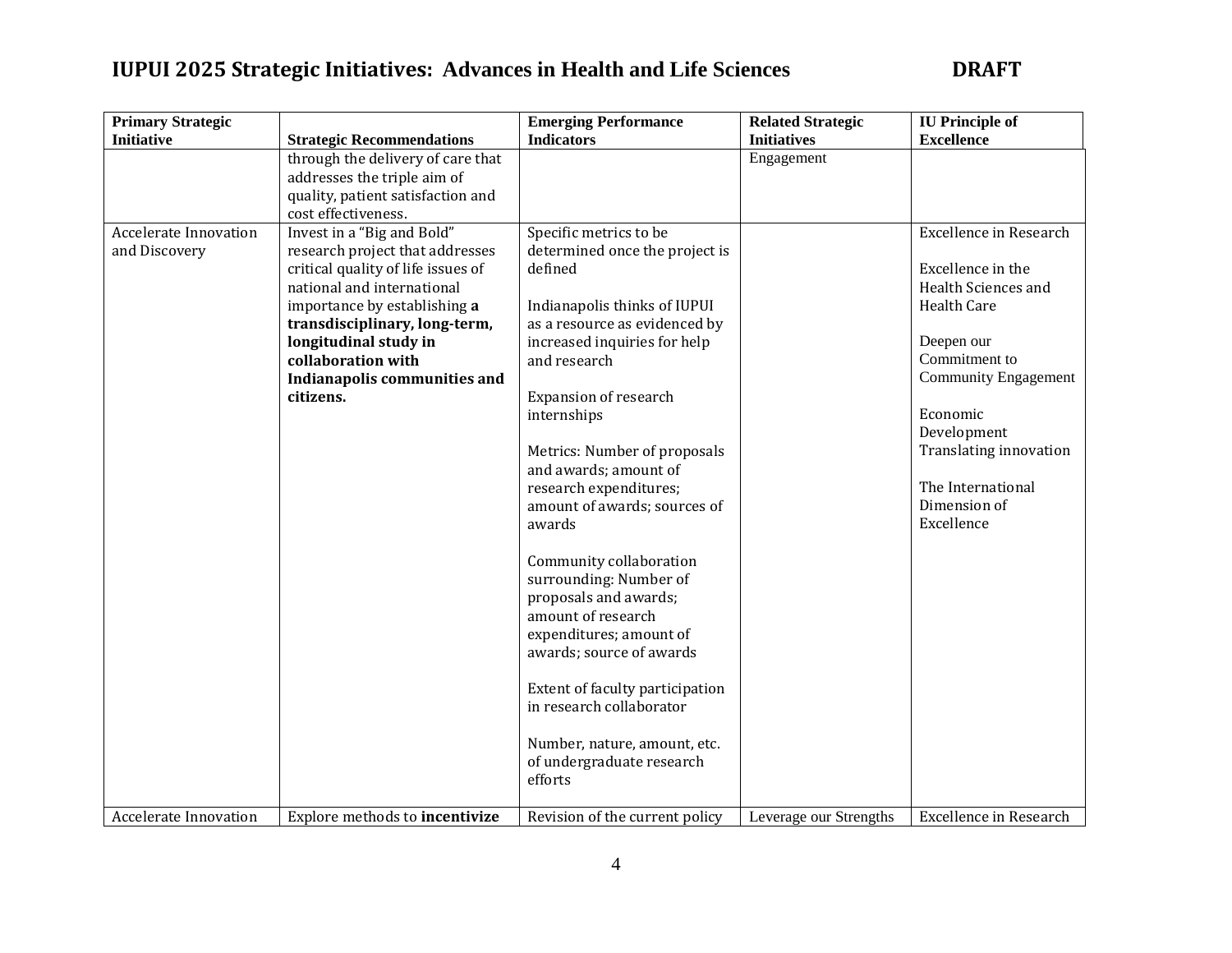| <b>Primary Strategic</b>                      |                                                                                                                                                                                                                                                                                                | <b>Emerging Performance</b>                                                                                                                                                                                                                                                                                                                                                                                                                                                                                                                                                                                                                                 | <b>Related Strategic</b> | <b>IU</b> Principle of                                                                                                                                                                                                                                                |
|-----------------------------------------------|------------------------------------------------------------------------------------------------------------------------------------------------------------------------------------------------------------------------------------------------------------------------------------------------|-------------------------------------------------------------------------------------------------------------------------------------------------------------------------------------------------------------------------------------------------------------------------------------------------------------------------------------------------------------------------------------------------------------------------------------------------------------------------------------------------------------------------------------------------------------------------------------------------------------------------------------------------------------|--------------------------|-----------------------------------------------------------------------------------------------------------------------------------------------------------------------------------------------------------------------------------------------------------------------|
| <b>Initiative</b>                             | <b>Strategic Recommendations</b>                                                                                                                                                                                                                                                               | <b>Indicators</b>                                                                                                                                                                                                                                                                                                                                                                                                                                                                                                                                                                                                                                           | <b>Initiatives</b>       | <b>Excellence</b>                                                                                                                                                                                                                                                     |
|                                               | through the delivery of care that<br>addresses the triple aim of<br>quality, patient satisfaction and<br>cost effectiveness.                                                                                                                                                                   |                                                                                                                                                                                                                                                                                                                                                                                                                                                                                                                                                                                                                                                             | Engagement               |                                                                                                                                                                                                                                                                       |
| <b>Accelerate Innovation</b><br>and Discovery | Invest in a "Big and Bold"<br>research project that addresses<br>critical quality of life issues of<br>national and international<br>importance by establishing a<br>transdisciplinary, long-term,<br>longitudinal study in<br>collaboration with<br>Indianapolis communities and<br>citizens. | Specific metrics to be<br>determined once the project is<br>defined<br>Indianapolis thinks of IUPUI<br>as a resource as evidenced by<br>increased inquiries for help<br>and research<br>Expansion of research<br>internships<br>Metrics: Number of proposals<br>and awards; amount of<br>research expenditures;<br>amount of awards; sources of<br>awards<br>Community collaboration<br>surrounding: Number of<br>proposals and awards;<br>amount of research<br>expenditures; amount of<br>awards; source of awards<br>Extent of faculty participation<br>in research collaborator<br>Number, nature, amount, etc.<br>of undergraduate research<br>efforts |                          | <b>Excellence in Research</b><br>Excellence in the<br>Health Sciences and<br><b>Health Care</b><br>Deepen our<br>Commitment to<br><b>Community Engagement</b><br>Economic<br>Development<br>Translating innovation<br>The International<br>Dimension of<br>Excellence |
| <b>Accelerate Innovation</b>                  | Explore methods to incentivize                                                                                                                                                                                                                                                                 | Revision of the current policy                                                                                                                                                                                                                                                                                                                                                                                                                                                                                                                                                                                                                              | Leverage our Strengths   | <b>Excellence in Research</b>                                                                                                                                                                                                                                         |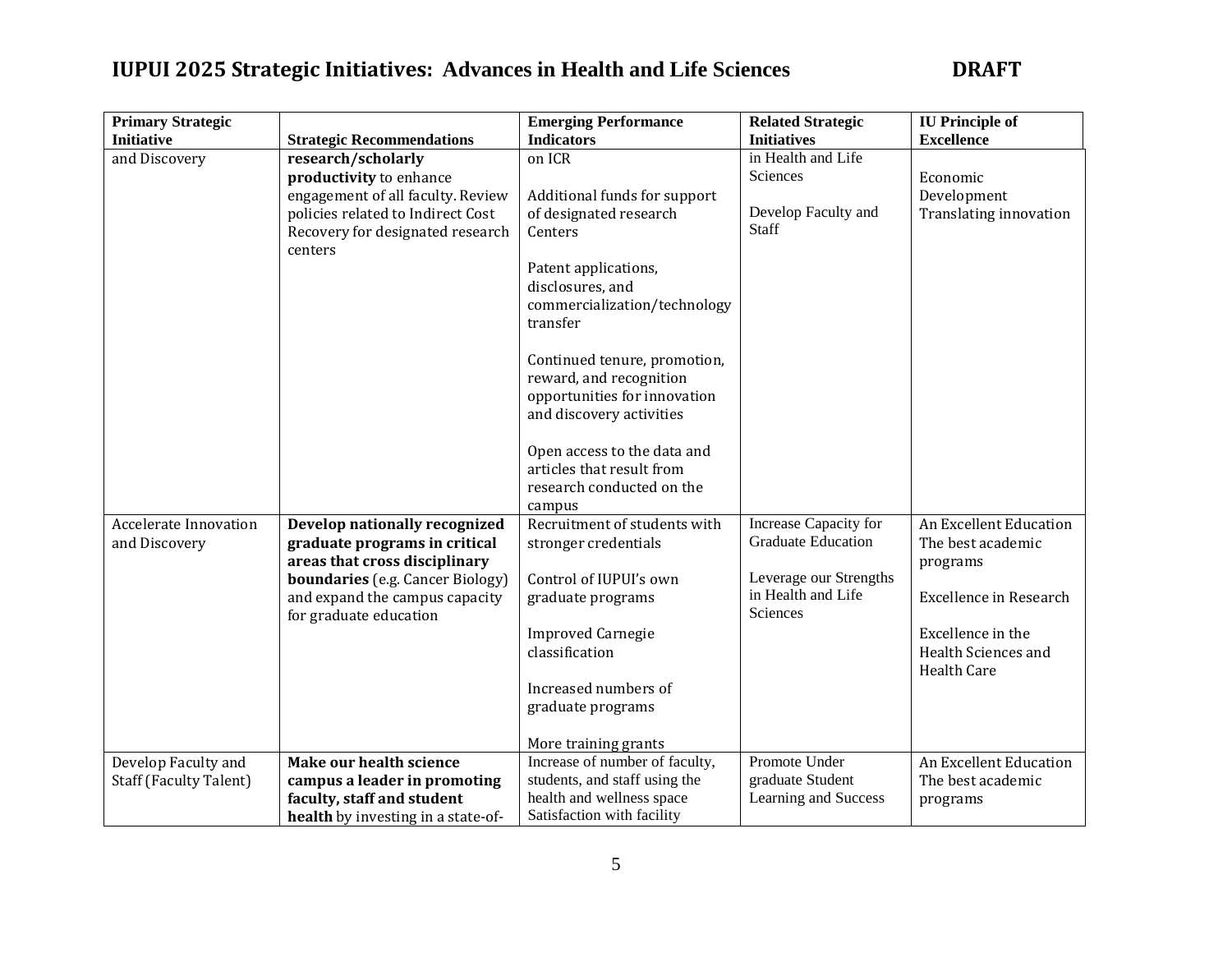| <b>Primary Strategic</b>      |                                         | <b>Emerging Performance</b>    | <b>Related Strategic</b>  | <b>IU</b> Principle of        |
|-------------------------------|-----------------------------------------|--------------------------------|---------------------------|-------------------------------|
| <b>Initiative</b>             | <b>Strategic Recommendations</b>        | <b>Indicators</b>              | <b>Initiatives</b>        | <b>Excellence</b>             |
| and Discovery                 | research/scholarly                      | on ICR                         | in Health and Life        |                               |
|                               | productivity to enhance                 |                                | <b>Sciences</b>           | Economic                      |
|                               | engagement of all faculty. Review       | Additional funds for support   |                           | Development                   |
|                               | policies related to Indirect Cost       | of designated research         | Develop Faculty and       | Translating innovation        |
|                               | Recovery for designated research        | Centers                        | Staff                     |                               |
|                               | centers                                 |                                |                           |                               |
|                               |                                         | Patent applications,           |                           |                               |
|                               |                                         | disclosures, and               |                           |                               |
|                               |                                         | commercialization/technology   |                           |                               |
|                               |                                         | transfer                       |                           |                               |
|                               |                                         |                                |                           |                               |
|                               |                                         | Continued tenure, promotion,   |                           |                               |
|                               |                                         | reward, and recognition        |                           |                               |
|                               |                                         | opportunities for innovation   |                           |                               |
|                               |                                         | and discovery activities       |                           |                               |
|                               |                                         |                                |                           |                               |
|                               |                                         | Open access to the data and    |                           |                               |
|                               |                                         | articles that result from      |                           |                               |
|                               |                                         | research conducted on the      |                           |                               |
|                               |                                         | campus                         |                           |                               |
| <b>Accelerate Innovation</b>  | Develop nationally recognized           | Recruitment of students with   | Increase Capacity for     | An Excellent Education        |
| and Discovery                 | graduate programs in critical           | stronger credentials           | <b>Graduate Education</b> | The best academic             |
|                               | areas that cross disciplinary           |                                |                           | programs                      |
|                               | <b>boundaries</b> (e.g. Cancer Biology) | Control of IUPUI's own         | Leverage our Strengths    |                               |
|                               | and expand the campus capacity          | graduate programs              | in Health and Life        | <b>Excellence in Research</b> |
|                               | for graduate education                  |                                | Sciences                  |                               |
|                               |                                         | <b>Improved Carnegie</b>       |                           | Excellence in the             |
|                               |                                         | classification                 |                           | Health Sciences and           |
|                               |                                         |                                |                           | <b>Health Care</b>            |
|                               |                                         | Increased numbers of           |                           |                               |
|                               |                                         | graduate programs              |                           |                               |
|                               |                                         |                                |                           |                               |
|                               |                                         | More training grants           |                           |                               |
| Develop Faculty and           | Make our health science                 | Increase of number of faculty, | Promote Under             | An Excellent Education        |
| <b>Staff (Faculty Talent)</b> | campus a leader in promoting            | students, and staff using the  | graduate Student          | The best academic             |
|                               | faculty, staff and student              | health and wellness space      | Learning and Success      | programs                      |
|                               | health by investing in a state-of-      | Satisfaction with facility     |                           |                               |